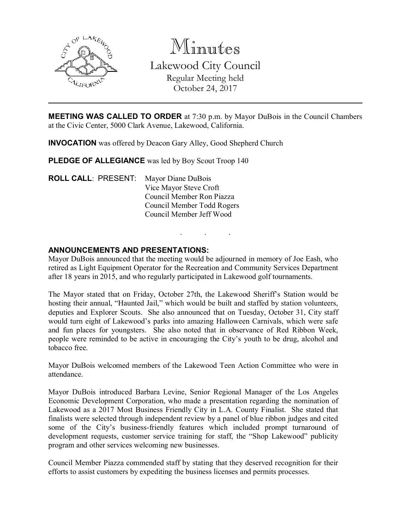

Minutes Lakewood City Council Regular Meeting held October 24, 2017

MEETING WAS CALLED TO ORDER at 7:30 p.m. by Mayor DuBois in the Council Chambers at the Civic Center, 5000 Clark Avenue, Lakewood, California.

INVOCATION was offered by Deacon Gary Alley, Good Shepherd Church

PLEDGE OF ALLEGIANCE was led by Boy Scout Troop 140

ROLL CALL: PRESENT: Mayor Diane DuBois Vice Mayor Steve Croft Council Member Ron Piazza Council Member Todd Rogers Council Member Jeff Wood

### ANNOUNCEMENTS AND PRESENTATIONS:

Mayor DuBois announced that the meeting would be adjourned in memory of Joe Eash, who retired as Light Equipment Operator for the Recreation and Community Services Department after 18 years in 2015, and who regularly participated in Lakewood golf tournaments.

. . .

The Mayor stated that on Friday, October 27th, the Lakewood Sheriff's Station would be hosting their annual, "Haunted Jail," which would be built and staffed by station volunteers, deputies and Explorer Scouts. She also announced that on Tuesday, October 31, City staff would turn eight of Lakewood's parks into amazing Halloween Carnivals, which were safe and fun places for youngsters. She also noted that in observance of Red Ribbon Week, people were reminded to be active in encouraging the City's youth to be drug, alcohol and tobacco free.

Mayor DuBois welcomed members of the Lakewood Teen Action Committee who were in attendance.

Mayor DuBois introduced Barbara Levine, Senior Regional Manager of the Los Angeles Economic Development Corporation, who made a presentation regarding the nomination of Lakewood as a 2017 Most Business Friendly City in L.A. County Finalist. She stated that finalists were selected through independent review by a panel of blue ribbon judges and cited some of the City's business-friendly features which included prompt turnaround of development requests, customer service training for staff, the "Shop Lakewood" publicity program and other services welcoming new businesses.

Council Member Piazza commended staff by stating that they deserved recognition for their efforts to assist customers by expediting the business licenses and permits processes.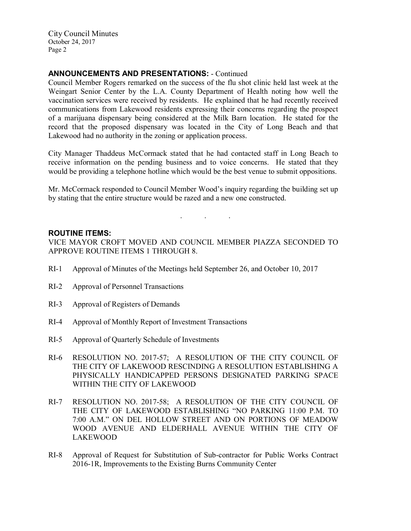## ANNOUNCEMENTS AND PRESENTATIONS: - Continued

Council Member Rogers remarked on the success of the flu shot clinic held last week at the Weingart Senior Center by the L.A. County Department of Health noting how well the vaccination services were received by residents. He explained that he had recently received communications from Lakewood residents expressing their concerns regarding the prospect of a marijuana dispensary being considered at the Milk Barn location. He stated for the record that the proposed dispensary was located in the City of Long Beach and that Lakewood had no authority in the zoning or application process.

City Manager Thaddeus McCormack stated that he had contacted staff in Long Beach to receive information on the pending business and to voice concerns. He stated that they would be providing a telephone hotline which would be the best venue to submit oppositions.

Mr. McCormack responded to Council Member Wood's inquiry regarding the building set up by stating that the entire structure would be razed and a new one constructed.

. . .

#### ROUTINE ITEMS:

VICE MAYOR CROFT MOVED AND COUNCIL MEMBER PIAZZA SECONDED TO APPROVE ROUTINE ITEMS 1 THROUGH 8.

- RI-1 Approval of Minutes of the Meetings held September 26, and October 10, 2017
- RI-2 Approval of Personnel Transactions
- RI-3 Approval of Registers of Demands
- RI-4 Approval of Monthly Report of Investment Transactions
- RI-5 Approval of Quarterly Schedule of Investments
- RI-6 RESOLUTION NO. 2017-57; A RESOLUTION OF THE CITY COUNCIL OF THE CITY OF LAKEWOOD RESCINDING A RESOLUTION ESTABLISHING A PHYSICALLY HANDICAPPED PERSONS DESIGNATED PARKING SPACE WITHIN THE CITY OF LAKEWOOD
- RI-7 RESOLUTION NO. 2017-58; A RESOLUTION OF THE CITY COUNCIL OF THE CITY OF LAKEWOOD ESTABLISHING "NO PARKING 11:00 P.M. TO 7:00 A.M." ON DEL HOLLOW STREET AND ON PORTIONS OF MEADOW WOOD AVENUE AND ELDERHALL AVENUE WITHIN THE CITY OF LAKEWOOD
- RI-8 Approval of Request for Substitution of Sub-contractor for Public Works Contract 2016-1R, Improvements to the Existing Burns Community Center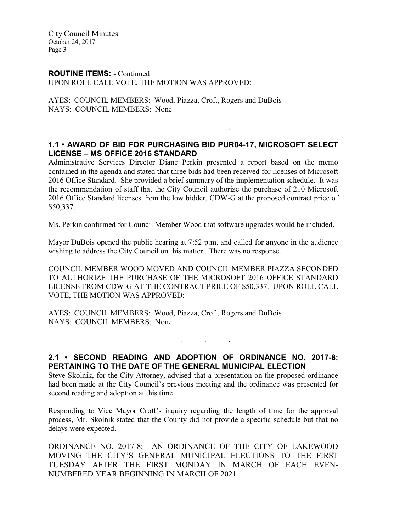### ROUTINE ITEMS: - Continued UPON ROLL CALL VOTE, THE MOTION WAS APPROVED:

AYES: COUNCIL MEMBERS: Wood, Piazza, Croft, Rogers and DuBois NAYS: COUNCIL MEMBERS: None

# 1.1 • AWARD OF BID FOR PURCHASING BID PUR04-17, MICROSOFT SELECT LICENSE – MS OFFICE 2016 STANDARD

. . .

Administrative Services Director Diane Perkin presented a report based on the memo contained in the agenda and stated that three bids had been received for licenses of Microsoft 2016 Office Standard. She provided a brief summary of the implementation schedule. It was the recommendation of staff that the City Council authorize the purchase of 210 Microsoft 2016 Office Standard licenses from the low bidder, CDW-G at the proposed contract price of \$50,337.

Ms. Perkin confirmed for Council Member Wood that software upgrades would be included.

Mayor DuBois opened the public hearing at 7:52 p.m. and called for anyone in the audience wishing to address the City Council on this matter. There was no response.

COUNCIL MEMBER WOOD MOVED AND COUNCIL MEMBER PIAZZA SECONDED TO AUTHORIZE THE PURCHASE OF THE MICROSOFT 2016 OFFICE STANDARD LICENSE FROM CDW-G AT THE CONTRACT PRICE OF \$50,337. UPON ROLL CALL VOTE, THE MOTION WAS APPROVED:

AYES: COUNCIL MEMBERS: Wood, Piazza, Croft, Rogers and DuBois NAYS: COUNCIL MEMBERS: None

2.1 • SECOND READING AND ADOPTION OF ORDINANCE NO. 2017-8; PERTAINING TO THE DATE OF THE GENERAL MUNICIPAL ELECTION

. . .

Steve Skolnik, for the City Attorney, advised that a presentation on the proposed ordinance had been made at the City Council's previous meeting and the ordinance was presented for second reading and adoption at this time.

Responding to Vice Mayor Croft's inquiry regarding the length of time for the approval process, Mr. Skolnik stated that the County did not provide a specific schedule but that no delays were expected.

ORDINANCE NO. 2017-8; AN ORDINANCE OF THE CITY OF LAKEWOOD MOVING THE CITY'S GENERAL MUNICIPAL ELECTIONS TO THE FIRST TUESDAY AFTER THE FIRST MONDAY IN MARCH OF EACH EVEN-NUMBERED YEAR BEGINNING IN MARCH OF 2021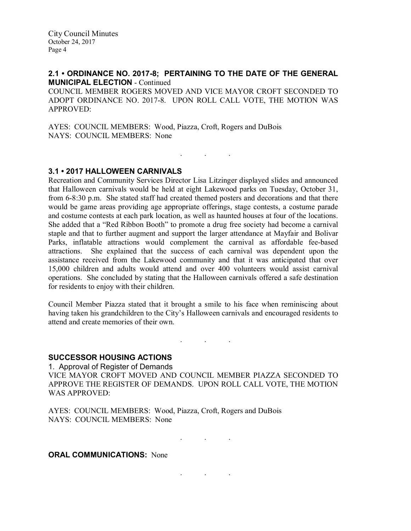## 2.1 • ORDINANCE NO. 2017-8; PERTAINING TO THE DATE OF THE GENERAL MUNICIPAL ELECTION - Continued

COUNCIL MEMBER ROGERS MOVED AND VICE MAYOR CROFT SECONDED TO ADOPT ORDINANCE NO. 2017-8. UPON ROLL CALL VOTE, THE MOTION WAS APPROVED:

. . .

AYES: COUNCIL MEMBERS: Wood, Piazza, Croft, Rogers and DuBois NAYS: COUNCIL MEMBERS: None

### 3.1 • 2017 HALLOWEEN CARNIVALS

Recreation and Community Services Director Lisa Litzinger displayed slides and announced that Halloween carnivals would be held at eight Lakewood parks on Tuesday, October 31, from 6-8:30 p.m. She stated staff had created themed posters and decorations and that there would be game areas providing age appropriate offerings, stage contests, a costume parade and costume contests at each park location, as well as haunted houses at four of the locations. She added that a "Red Ribbon Booth" to promote a drug free society had become a carnival staple and that to further augment and support the larger attendance at Mayfair and Bolivar Parks, inflatable attractions would complement the carnival as affordable fee-based attractions. She explained that the success of each carnival was dependent upon the assistance received from the Lakewood community and that it was anticipated that over 15,000 children and adults would attend and over 400 volunteers would assist carnival operations. She concluded by stating that the Halloween carnivals offered a safe destination for residents to enjoy with their children.

Council Member Piazza stated that it brought a smile to his face when reminiscing about having taken his grandchildren to the City's Halloween carnivals and encouraged residents to attend and create memories of their own.

. . .

### SUCCESSOR HOUSING ACTIONS

1. Approval of Register of Demands VICE MAYOR CROFT MOVED AND COUNCIL MEMBER PIAZZA SECONDED TO APPROVE THE REGISTER OF DEMANDS. UPON ROLL CALL VOTE, THE MOTION WAS APPROVED:

AYES: COUNCIL MEMBERS: Wood, Piazza, Croft, Rogers and DuBois NAYS: COUNCIL MEMBERS: None

 $\mathbf{r} = \mathbf{r} \times \mathbf{r}$  . The set of  $\mathbf{r}$ 

. . .

**ORAL COMMUNICATIONS: None**